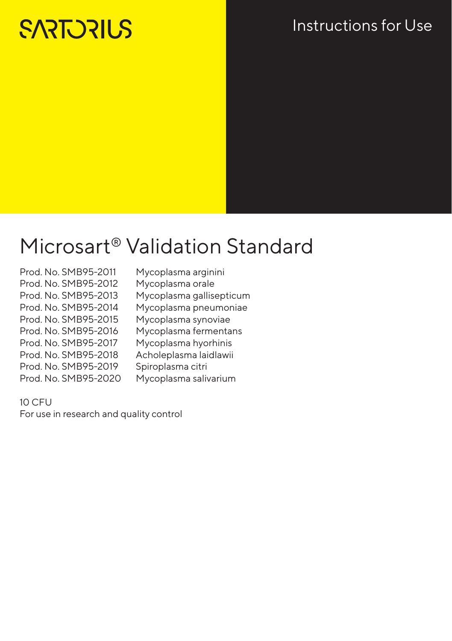# **SARTORIUS**

### Instructions for Use

# Microsart® Validation Standard

- Prod. No. SMB95-2011 Mycoplasma arginini Prod. No. SMB95-2012 Mycoplasma orale<br>Prod. No. SMB95-2013 Mycoplasma gallis Prod. No. SMB95-2014 Mycoplasma pneumoniae Prod. No. SMB95-2015 Mycoplasma synoviae Prod. No. SMB95-2016 Mycoplasma fermentans Prod. No. SMB95-2017 Mycoplasma hyorhinis Prod. No. SMB95-2018 Acholeplasma laidlawii Prod. No. SMB95-2019 Spiroplasma citri Prod. No. SMB95-2020 Mycoplasma salivarium
	- Mycoplasma gallisepticum

### $10$  CFU

For use in research and quality control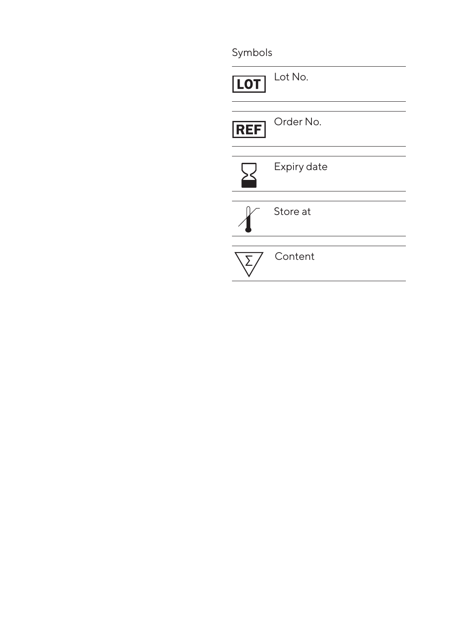Symbols

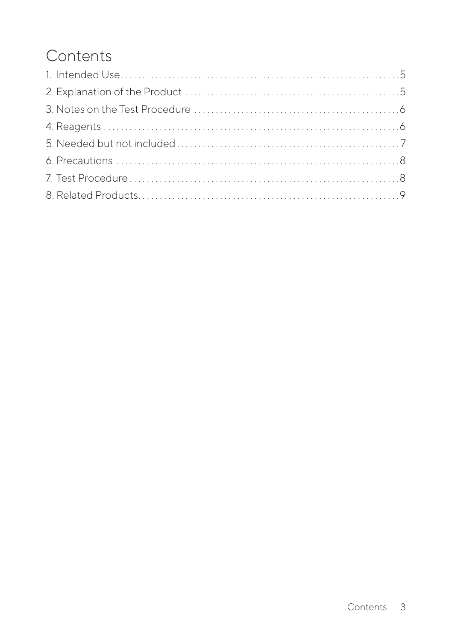# **Contents**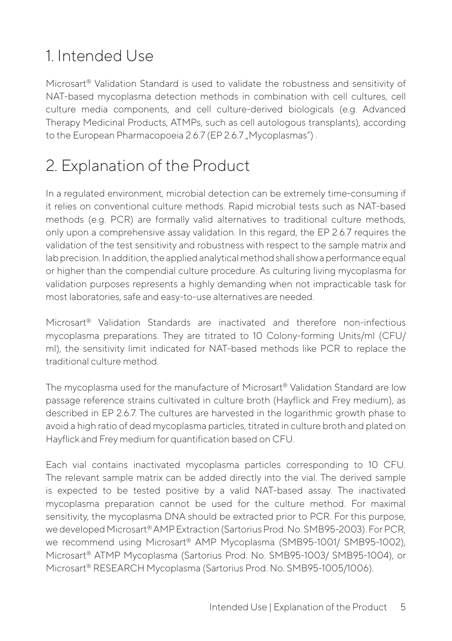## 1. Intended Use

Microsart® Validation Standard is used to validate the robustness and sensitivity of NAT-based mycoplasma detection methods in combination with cell cultures, cell culture media components, and cell culture-derived biologicals (e.g. Advanced Therapy Medicinal Products, ATMPs, such as cell autologous transplants), according to the European Pharmacopoeia 2.6.7 (EP 2.6.7 "Mycoplasmas").

### 2. Explanation of the Product

In a regulated environment, microbial detection can be extremely time-consuming if it relies on conventional culture methods. Rapid microbial tests such as NAT-based methods (e.g. PCR) are formally valid alternatives to traditional culture methods, only upon a comprehensive assay validation. In this regard, the EP 2.6.7 requires the validation of the test sensitivity and robustness with respect to the sample matrix and lab precision. In addition, the applied analytical method shall show a performance equal or higher than the compendial culture procedure. As culturing living mycoplasma for validation purposes represents a highly demanding when not impracticable task for most laboratories, safe and easy-to-use alternatives are needed.

Microsart® Validation Standards are inactivated and therefore non-infectious mycoplasma preparations. They are titrated to 10 Colony-forming Units/ml (CFU/ ml), the sensitivity limit indicated for NAT-based methods like PCR to replace the traditional culture method.

The mycoplasma used for the manufacture of Microsart® Validation Standard are low passage reference strains cultivated in culture broth (Hayflick and Frey medium), as described in EP 2.6.7. The cultures are harvested in the logarithmic growth phase to avoid a high ratio of dead mycoplasma particles, titrated in culture broth and plated on Hayflick and Frey medium for quantification based on CFU.

Each vial contains inactivated mycoplasma particles corresponding to 10 CFU. The relevant sample matrix can be added directly into the vial. The derived sample is expected to be tested positive by a valid NAT-based assay. The inactivated mycoplasma preparation cannot be used for the culture method. For maximal sensitivity, the mycoplasma DNA should be extracted prior to PCR. For this purpose, we developed Microsart® AMP Extraction (Sartorius Prod. No. SMB95-2003). For PCR, we recommend using Microsart® AMP Mycoplasma (SMB95-1001/ SMB95-1002), Microsart® ATMP Mycoplasma (Sartorius Prod. No. SMB95-1003/ SMB95-1004), or Microsart® RESEARCH Mycoplasma (Sartorius Prod. No. SMB95-1005/1006).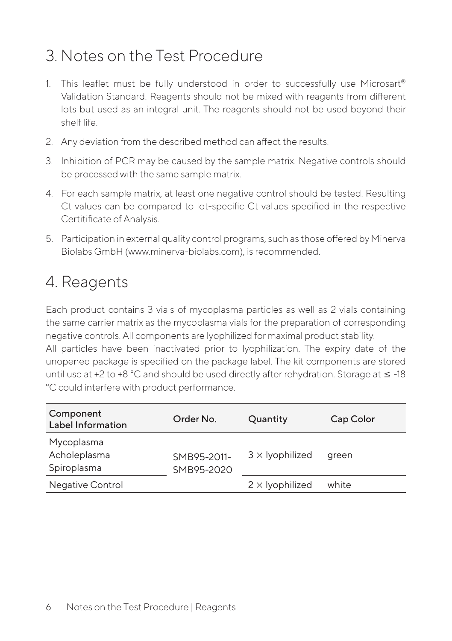### 3. Notes on the Test Procedure

- 1. This leaflet must be fully understood in order to successfully use Microsart® Validation Standard. Reagents should not be mixed with reagents from different lots but used as an integral unit. The reagents should not be used beyond their shelf life.
- 2. Any deviation from the described method can affect the results.
- 3. Inhibition of PCR may be caused by the sample matrix. Negative controls should be processed with the same sample matrix.
- 4. For each sample matrix, at least one negative control should be tested. Resulting Ct values can be compared to lot-specific Ct values specified in the respective Certitificate of Analysis.
- 5. Participation in external quality control programs, such as those offered by Minerva Biolabs GmbH (www.minerva-biolabs.com), is recommended.

### 4. Reagents

Each product contains 3 vials of mycoplasma particles as well as 2 vials containing the same carrier matrix as the mycoplasma vials for the preparation of corresponding negative controls. All components are lyophilized for maximal product stability. All particles have been inactivated prior to lyophilization. The expiry date of the unopened package is specified on the package label. The kit components are stored until use at +2 to +8 °C and should be used directly after rehydration. Storage at  $\leq$  -18 °C could interfere with product performance.

| Component<br>Label Information            | Order No.                 | Quantity               | Cap Color |
|-------------------------------------------|---------------------------|------------------------|-----------|
| Mycoplasma<br>Acholeplasma<br>Spiroplasma | SMB95-2011-<br>SMB95-2020 | $3 \times$ lyophilized | green     |
| <b>Negative Control</b>                   |                           | $2 \times$ lyophilized | white     |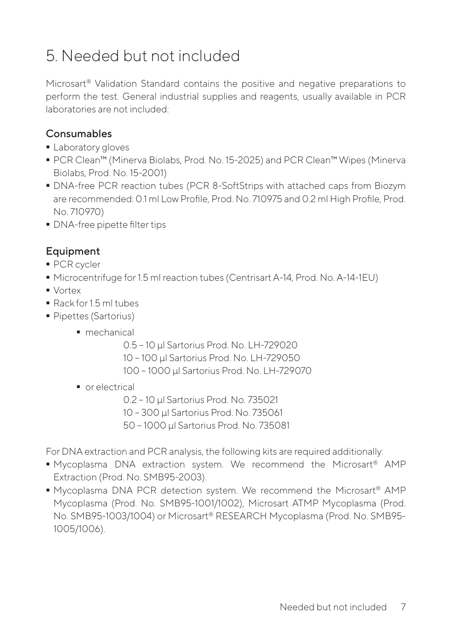# 5. Needed but not included

Microsart® Validation Standard contains the positive and negative preparations to perform the test. General industrial supplies and reagents, usually available in PCR laboratories are not included:

### Consumables

- **Laboratory gloves**
- PCR Clean™ (Minerva Biolabs, Prod. No. 15-2025) and PCR Clean™ Wipes (Minerva Biolabs, Prod. No. 15-2001)
- DNA-free PCR reaction tubes (PCR 8-SoftStrips with attached caps from Biozym are recommended: 0.1 ml Low Profile, Prod. No. 710975 and 0.2 ml High Profile, Prod. No. 710970)
- **DNA-free pipette filter tips**

### Equipment

- **PCR** cycler
- Microcentrifuge for 1.5 ml reaction tubes (Centrisart A-14, Prod. No. A-14-1EU)
- Vortex
- Rack for 1.5 ml tubes
- **Pipettes (Sartorius)** 
	- mechanical
		- 0.5 10 µl Sartorius Prod. No. LH-729020
		- 10 100 µl Sartorius Prod. No. LH-729050
		- 100 1000 µl Sartorius Prod. No. LH-729070
	- **•** or electrical
		- 0.2 10 µl Sartorius Prod. No. 735021
		- 10 300 µl Sartorius Prod. No. 735061
		- 50 1000 µl Sartorius Prod. No. 735081

For DNA extraction and PCR analysis, the following kits are required additionally:

- Mycoplasma DNA extraction system. We recommend the Microsart® AMP Extraction (Prod. No. SMB95-2003).
- Mycoplasma DNA PCR detection system. We recommend the Microsart® AMP Mycoplasma (Prod. No. SMB95-1001/1002), Microsart ATMP Mycoplasma (Prod. No. SMB95-1003/1004) or Microsart® RESEARCH Mycoplasma (Prod. No. SMB95- 1005/1006).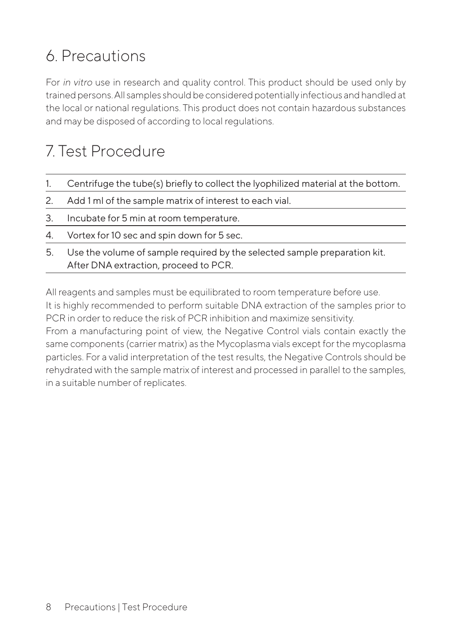# 6. Precautions

For in vitro use in research and quality control. This product should be used only by trained persons. All samples should be considered potentially infectious and handled at the local or national regulations. This product does not contain hazardous substances and may be disposed of according to local regulations.

# 7. Test Procedure

|    | Centrifuge the tube(s) briefly to collect the lyophilized material at the bottom. |
|----|-----------------------------------------------------------------------------------|
|    | 2. Add 1 ml of the sample matrix of interest to each vial.                        |
| 3. | Incubate for 5 min at room temperature.                                           |
|    | 4. Vortex for 10 sec and spin down for 5 sec.                                     |
|    | 5. Use the volume of sample required by the selected sample preparation kit.      |

5. Use the volume of sample required by the selected sample preparation kit. After DNA extraction, proceed to PCR.

All reagents and samples must be equilibrated to room temperature before use. It is highly recommended to perform suitable DNA extraction of the samples prior to PCR in order to reduce the risk of PCR inhibition and maximize sensitivity.

From a manufacturing point of view, the Negative Control vials contain exactly the same components (carrier matrix) as the Mycoplasma vials except for the mycoplasma particles. For a valid interpretation of the test results, the Negative Controls should be rehydrated with the sample matrix of interest and processed in parallel to the samples, in a suitable number of replicates.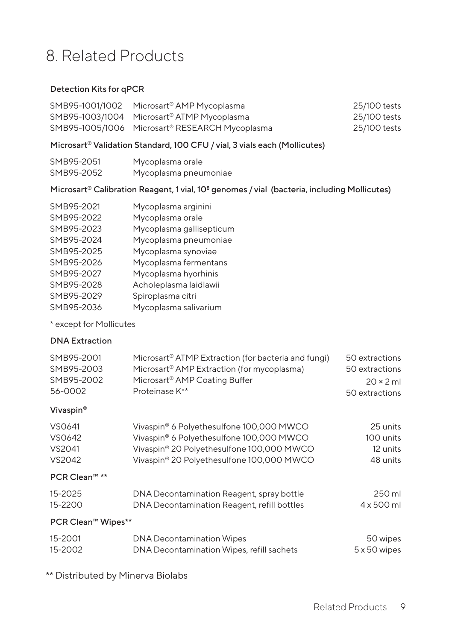### 8. Related Products

### Detection Kits for qPCR

| SMB95-1001/1002 Microsart <sup>®</sup> AMP Mycoplasma      | 25/100 tests |
|------------------------------------------------------------|--------------|
| SMB95-1003/1004 Microsart <sup>®</sup> ATMP Mycoplasma     | 25/100 tests |
| SMB95-1005/1006 Microsart <sup>®</sup> RESEARCH Mycoplasma | 25/100 tests |

#### Microsart® Validation Standard, 100 CFU / vial, 3 vials each (Mollicutes)

| SMB95-2051 | Mycoplasma orale      |
|------------|-----------------------|
| SMB95-2052 | Mycoplasma pneumoniae |

### Microsart® Calibration Reagent, 1 vial, 10<sup>8</sup> genomes / vial (bacteria, including Mollicutes)

| SMB95-2021 | Mycoplasma arginini      |
|------------|--------------------------|
| SMB95-2022 | Mycoplasma orale         |
| SMB95-2023 | Mycoplasma gallisepticum |
| SMB95-2024 | Mycoplasma pneumoniae    |
| SMB95-2025 | Mycoplasma synoviae      |
| SMB95-2026 | Mycoplasma fermentans    |
| SMB95-2027 | Mycoplasma hyorhinis     |
| SMB95-2028 | Acholeplasma laidlawii   |
| SMB95-2029 | Spiroplasma citri        |
| SMB95-2036 | Mycoplasma salivarium    |

#### \* except for Mollicutes

#### DNA Extraction

| SMB95-2001 | Microsart <sup>®</sup> ATMP Extraction (for bacteria and fungi) | 50 extractions   |
|------------|-----------------------------------------------------------------|------------------|
| SMB95-2003 | Microsart <sup>®</sup> AMP Extraction (for mycoplasma)          | 50 extractions   |
| SMB95-2002 | Microsart <sup>®</sup> AMP Coating Buffer                       | $20 \times 2$ ml |
| 56-0002    | Proteinase K**                                                  | 50 extractions   |

#### Vivaspin®

| VS0641 | Vivaspin <sup>®</sup> 6 Polyethesulfone 100,000 MWCO | 25 units  |
|--------|------------------------------------------------------|-----------|
| VS0642 | Vivaspin® 6 Polyethesulfone 100,000 MWCO             | 100 units |
| VS2041 | Vivaspin® 20 Polyethesulfone 100,000 MWCO            | 12 units  |
| VS2042 | Vivaspin® 20 Polyethesulfone 100,000 MWCO            | 48 units  |

#### PCR Clean™ \*\*

| 15-2025 | DNA Decontamination Reagent, spray bottle   | 250 ml     |
|---------|---------------------------------------------|------------|
| 15-2200 | DNA Decontamination Reagent, refill bottles | 4 x 500 ml |

### PCR Clean™ Wipes\*\*

| 15-2001 | <b>DNA Decontamination Wipes</b>          | 50 wipes     |
|---------|-------------------------------------------|--------------|
| 15-2002 | DNA Decontamination Wipes, refill sachets | 5 x 50 wipes |

\*\* Distributed by Minerva Biolabs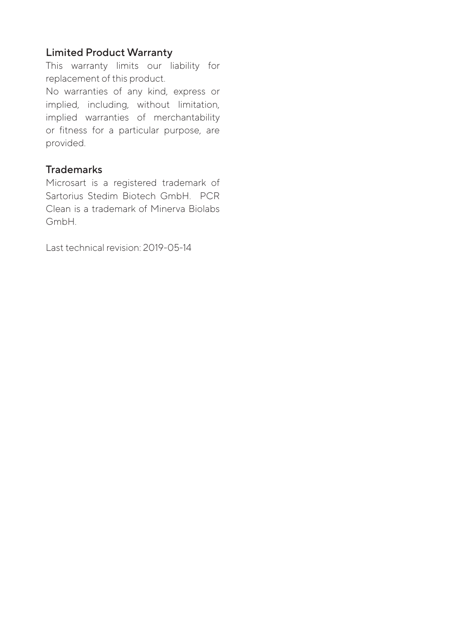### Limited Product Warranty

This warranty limits our liability for replacement of this product.

No warranties of any kind, express or implied, including, without limitation, implied warranties of merchantability or fitness for a particular purpose, are provided.

### **Trademarks**

Microsart is a registered trademark of Sartorius Stedim Biotech GmbH. PCR Clean is a trademark of Minerva Biolabs GmbH.

Last technical revision: 2019-05-14